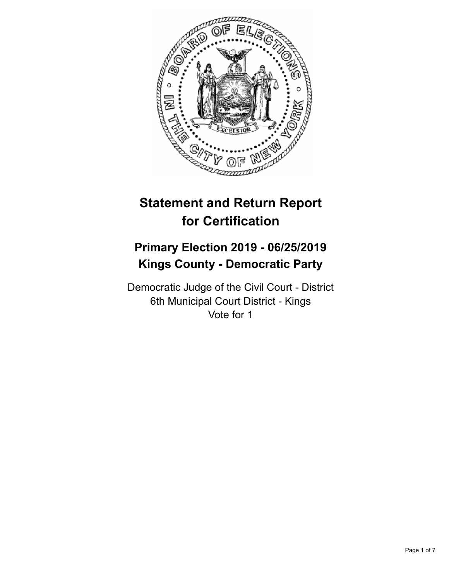

# **Statement and Return Report for Certification**

# **Primary Election 2019 - 06/25/2019 Kings County - Democratic Party**

Democratic Judge of the Civil Court - District 6th Municipal Court District - Kings Vote for 1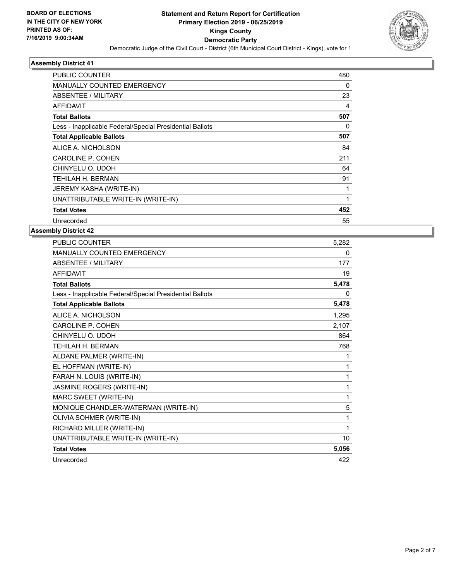

| PUBLIC COUNTER                                           | 480 |
|----------------------------------------------------------|-----|
| <b>MANUALLY COUNTED EMERGENCY</b>                        | 0   |
| <b>ABSENTEE / MILITARY</b>                               | 23  |
| <b>AFFIDAVIT</b>                                         | 4   |
| <b>Total Ballots</b>                                     | 507 |
| Less - Inapplicable Federal/Special Presidential Ballots | 0   |
| <b>Total Applicable Ballots</b>                          | 507 |
| ALICE A. NICHOLSON                                       | 84  |
| <b>CAROLINE P. COHEN</b>                                 | 211 |
| CHINYELU O. UDOH                                         | 64  |
| TEHILAH H. BERMAN                                        | 91  |
| JEREMY KASHA (WRITE-IN)                                  |     |
| UNATTRIBUTABLE WRITE-IN (WRITE-IN)                       | 1   |
| <b>Total Votes</b>                                       | 452 |
| Unrecorded                                               | 55  |
|                                                          |     |

| <b>PUBLIC COUNTER</b>                                    | 5,282 |
|----------------------------------------------------------|-------|
| <b>MANUALLY COUNTED EMERGENCY</b>                        | 0     |
| <b>ABSENTEE / MILITARY</b>                               | 177   |
| <b>AFFIDAVIT</b>                                         | 19    |
| <b>Total Ballots</b>                                     | 5,478 |
| Less - Inapplicable Federal/Special Presidential Ballots | 0     |
| <b>Total Applicable Ballots</b>                          | 5,478 |
| ALICE A. NICHOLSON                                       | 1,295 |
| <b>CAROLINE P. COHEN</b>                                 | 2,107 |
| CHINYELU O. UDOH                                         | 864   |
| <b>TEHILAH H. BERMAN</b>                                 | 768   |
| ALDANE PALMER (WRITE-IN)                                 | 1     |
| EL HOFFMAN (WRITE-IN)                                    | 1     |
| FARAH N. LOUIS (WRITE-IN)                                | 1     |
| JASMINE ROGERS (WRITE-IN)                                | 1     |
| MARC SWEET (WRITE-IN)                                    | 1     |
| MONIQUE CHANDLER-WATERMAN (WRITE-IN)                     | 5     |
| OLIVIA SOHMER (WRITE-IN)                                 | 1     |
| RICHARD MILLER (WRITE-IN)                                | 1     |
| UNATTRIBUTABLE WRITE-IN (WRITE-IN)                       | 10    |
| <b>Total Votes</b>                                       | 5,056 |
| Unrecorded                                               | 422   |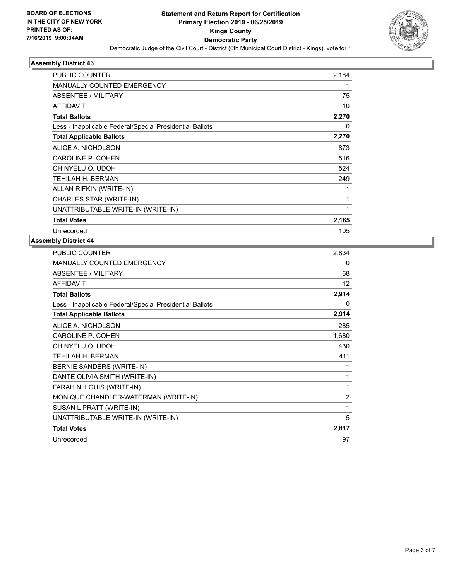

| 2,184 |
|-------|
|       |
| 75    |
| 10    |
| 2,270 |
| 0     |
| 2,270 |
| 873   |
| 516   |
| 524   |
| 249   |
| 1     |
| 1     |
| 1     |
| 2,165 |
| 105   |
|       |

| <b>MANUALLY COUNTED EMERGENCY</b><br>ABSENTEE / MILITARY<br><b>AFFIDAVIT</b><br><b>Total Ballots</b><br>Less - Inapplicable Federal/Special Presidential Ballots<br><b>Total Applicable Ballots</b> | 0<br>68<br>12<br>2,914<br>0<br>2,914 |
|-----------------------------------------------------------------------------------------------------------------------------------------------------------------------------------------------------|--------------------------------------|
|                                                                                                                                                                                                     |                                      |
|                                                                                                                                                                                                     |                                      |
|                                                                                                                                                                                                     |                                      |
|                                                                                                                                                                                                     |                                      |
|                                                                                                                                                                                                     |                                      |
|                                                                                                                                                                                                     |                                      |
| ALICE A. NICHOLSON                                                                                                                                                                                  | 285                                  |
| <b>CAROLINE P. COHEN</b>                                                                                                                                                                            | 1,680                                |
| CHINYELU O. UDOH                                                                                                                                                                                    | 430                                  |
| TEHILAH H. BERMAN                                                                                                                                                                                   | 411                                  |
| BERNIE SANDERS (WRITE-IN)                                                                                                                                                                           | 1                                    |
| DANTE OLIVIA SMITH (WRITE-IN)                                                                                                                                                                       | 1                                    |
| FARAH N. LOUIS (WRITE-IN)                                                                                                                                                                           | 1                                    |
| MONIQUE CHANDLER-WATERMAN (WRITE-IN)                                                                                                                                                                | 2                                    |
| SUSAN L PRATT (WRITE-IN)                                                                                                                                                                            | 1                                    |
| UNATTRIBUTABLE WRITE-IN (WRITE-IN)                                                                                                                                                                  | 5                                    |
| <b>Total Votes</b>                                                                                                                                                                                  | 2,817                                |
| Unrecorded                                                                                                                                                                                          | 97                                   |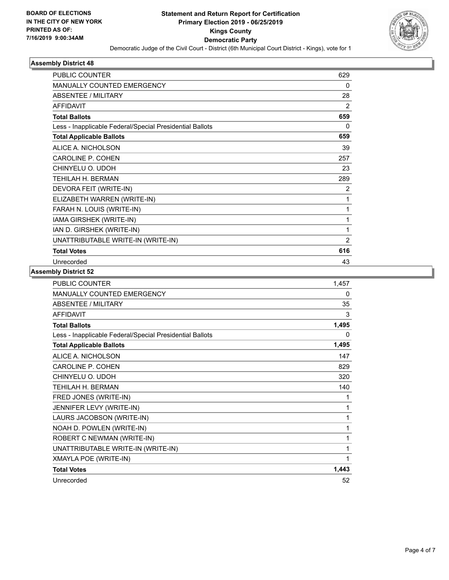

| PUBLIC COUNTER                                           | 629            |
|----------------------------------------------------------|----------------|
| <b>MANUALLY COUNTED EMERGENCY</b>                        | 0              |
| ABSENTEE / MILITARY                                      | 28             |
| <b>AFFIDAVIT</b>                                         | 2              |
| <b>Total Ballots</b>                                     | 659            |
| Less - Inapplicable Federal/Special Presidential Ballots | 0              |
| <b>Total Applicable Ballots</b>                          | 659            |
| ALICE A. NICHOLSON                                       | 39             |
| <b>CAROLINE P. COHEN</b>                                 | 257            |
| CHINYELU O. UDOH                                         | 23             |
| TEHILAH H. BERMAN                                        | 289            |
| DEVORA FEIT (WRITE-IN)                                   | 2              |
| ELIZABETH WARREN (WRITE-IN)                              | 1              |
| FARAH N. LOUIS (WRITE-IN)                                | 1              |
| IAMA GIRSHEK (WRITE-IN)                                  | 1              |
| IAN D. GIRSHEK (WRITE-IN)                                | 1              |
| UNATTRIBUTABLE WRITE-IN (WRITE-IN)                       | $\overline{2}$ |
| <b>Total Votes</b>                                       | 616            |
| Unrecorded                                               | 43             |

| <b>PUBLIC COUNTER</b>                                    | 1,457 |
|----------------------------------------------------------|-------|
| <b>MANUALLY COUNTED EMERGENCY</b>                        | 0     |
| <b>ABSENTEE / MILITARY</b>                               | 35    |
| <b>AFFIDAVIT</b>                                         | 3     |
| <b>Total Ballots</b>                                     | 1,495 |
| Less - Inapplicable Federal/Special Presidential Ballots | 0     |
| <b>Total Applicable Ballots</b>                          | 1,495 |
| ALICE A. NICHOLSON                                       | 147   |
| CAROLINE P. COHEN                                        | 829   |
| CHINYELU O. UDOH                                         | 320   |
| TEHILAH H. BERMAN                                        | 140   |
| FRED JONES (WRITE-IN)                                    | 1     |
| JENNIFER LEVY (WRITE-IN)                                 | 1     |
| LAURS JACOBSON (WRITE-IN)                                | 1     |
| NOAH D. POWLEN (WRITE-IN)                                | 1     |
| ROBERT C NEWMAN (WRITE-IN)                               | 1     |
| UNATTRIBUTABLE WRITE-IN (WRITE-IN)                       | 1     |
| XMAYLA POE (WRITE-IN)                                    | 1     |
| <b>Total Votes</b>                                       | 1,443 |
| Unrecorded                                               | 52    |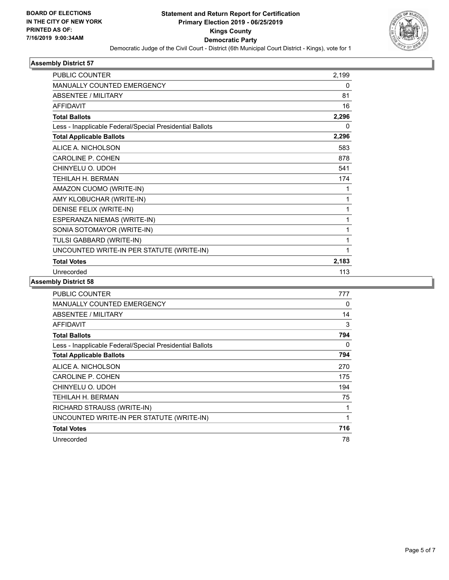

| <b>PUBLIC COUNTER</b>                                    | 2,199 |
|----------------------------------------------------------|-------|
| <b>MANUALLY COUNTED EMERGENCY</b>                        | 0     |
| <b>ABSENTEE / MILITARY</b>                               | 81    |
| <b>AFFIDAVIT</b>                                         | 16    |
| <b>Total Ballots</b>                                     | 2,296 |
| Less - Inapplicable Federal/Special Presidential Ballots | 0     |
| <b>Total Applicable Ballots</b>                          | 2,296 |
| ALICE A. NICHOLSON                                       | 583   |
| <b>CAROLINE P. COHEN</b>                                 | 878   |
| CHINYELU O. UDOH                                         | 541   |
| TEHILAH H. BERMAN                                        | 174   |
| AMAZON CUOMO (WRITE-IN)                                  | 1     |
| AMY KLOBUCHAR (WRITE-IN)                                 | 1     |
| DENISE FELIX (WRITE-IN)                                  | 1     |
| ESPERANZA NIEMAS (WRITE-IN)                              | 1     |
| SONIA SOTOMAYOR (WRITE-IN)                               | 1     |
| TULSI GABBARD (WRITE-IN)                                 | 1     |
| UNCOUNTED WRITE-IN PER STATUTE (WRITE-IN)                | 1     |
| <b>Total Votes</b>                                       | 2,183 |
| Unrecorded                                               | 113   |
|                                                          |       |

| PUBLIC COUNTER                                           | 777 |
|----------------------------------------------------------|-----|
| <b>MANUALLY COUNTED EMERGENCY</b>                        | 0   |
| ABSENTEE / MILITARY                                      | 14  |
| AFFIDAVIT                                                | 3   |
| <b>Total Ballots</b>                                     | 794 |
| Less - Inapplicable Federal/Special Presidential Ballots | 0   |
| <b>Total Applicable Ballots</b>                          | 794 |
| ALICE A. NICHOLSON                                       | 270 |
| CAROLINE P. COHEN                                        | 175 |
| CHINYELU O. UDOH                                         | 194 |
| TEHILAH H. BERMAN                                        | 75  |
| RICHARD STRAUSS (WRITE-IN)                               | 1   |
| UNCOUNTED WRITE-IN PER STATUTE (WRITE-IN)                | 1   |
| <b>Total Votes</b>                                       | 716 |
| Unrecorded                                               | 78  |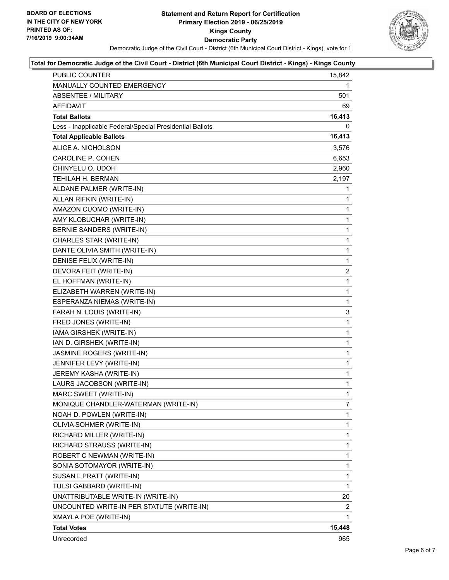

## **Total for Democratic Judge of the Civil Court - District (6th Municipal Court District - Kings) - Kings County**

| PUBLIC COUNTER                                           | 15,842         |
|----------------------------------------------------------|----------------|
| MANUALLY COUNTED EMERGENCY                               | 1              |
| <b>ABSENTEE / MILITARY</b>                               | 501            |
| AFFIDAVIT                                                | 69             |
| <b>Total Ballots</b>                                     | 16,413         |
| Less - Inapplicable Federal/Special Presidential Ballots | 0              |
| <b>Total Applicable Ballots</b>                          | 16,413         |
| ALICE A. NICHOLSON                                       | 3,576          |
| <b>CAROLINE P. COHEN</b>                                 | 6,653          |
| CHINYELU O. UDOH                                         | 2,960          |
| TEHILAH H. BERMAN                                        | 2,197          |
| ALDANE PALMER (WRITE-IN)                                 | 1              |
| ALLAN RIFKIN (WRITE-IN)                                  | 1              |
| AMAZON CUOMO (WRITE-IN)                                  | 1              |
| AMY KLOBUCHAR (WRITE-IN)                                 | $\mathbf{1}$   |
| BERNIE SANDERS (WRITE-IN)                                | 1              |
| CHARLES STAR (WRITE-IN)                                  | 1              |
| DANTE OLIVIA SMITH (WRITE-IN)                            | 1              |
| DENISE FELIX (WRITE-IN)                                  | 1              |
| DEVORA FEIT (WRITE-IN)                                   | $\overline{2}$ |
| EL HOFFMAN (WRITE-IN)                                    | $\mathbf{1}$   |
| ELIZABETH WARREN (WRITE-IN)                              | 1              |
| ESPERANZA NIEMAS (WRITE-IN)                              | 1              |
| FARAH N. LOUIS (WRITE-IN)                                | 3              |
| FRED JONES (WRITE-IN)                                    | 1              |
| IAMA GIRSHEK (WRITE-IN)                                  | 1              |
| IAN D. GIRSHEK (WRITE-IN)                                | $\mathbf{1}$   |
| JASMINE ROGERS (WRITE-IN)                                | 1              |
| JENNIFER LEVY (WRITE-IN)                                 | 1              |
| JEREMY KASHA (WRITE-IN)                                  | $\mathbf{1}$   |
| LAURS JACOBSON (WRITE-IN)                                | 1              |
| MARC SWEET (WRITE-IN)                                    | 1              |
| MONIQUE CHANDLER-WATERMAN (WRITE-IN)                     | 7              |
| NOAH D. POWLEN (WRITE-IN)                                | 1              |
| OLIVIA SOHMER (WRITE-IN)                                 | 1              |
| RICHARD MILLER (WRITE-IN)                                | 1              |
| RICHARD STRAUSS (WRITE-IN)                               | 1              |
| ROBERT C NEWMAN (WRITE-IN)                               | 1              |
| SONIA SOTOMAYOR (WRITE-IN)                               | 1              |
| SUSAN L PRATT (WRITE-IN)                                 | 1              |
| TULSI GABBARD (WRITE-IN)                                 | 1              |
| UNATTRIBUTABLE WRITE-IN (WRITE-IN)                       | 20             |
| UNCOUNTED WRITE-IN PER STATUTE (WRITE-IN)                | 2              |
| XMAYLA POE (WRITE-IN)                                    | 1              |
| <b>Total Votes</b>                                       | 15,448         |
| Unrecorded                                               | 965            |